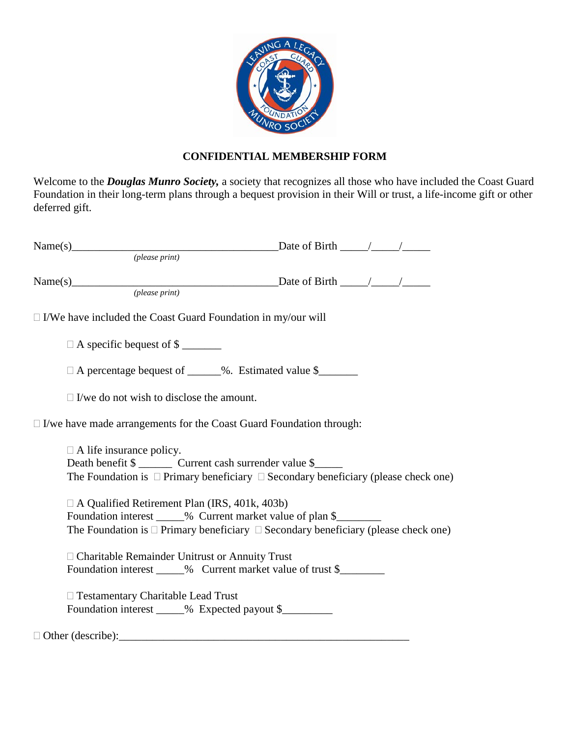

## **CONFIDENTIAL MEMBERSHIP FORM**

Welcome to the *Douglas Munro Society,* a society that recognizes all those who have included the Coast Guard Foundation in their long-term plans through a bequest provision in their Will or trust, a life-income gift or other deferred gift.

| Name(s) Date of Birth $\frac{1}{\frac{2}{\frac{1}{2}}\left(\text{phase print}\right)}$ |                                           |                                                      |                                                                                                                                                            |  |
|----------------------------------------------------------------------------------------|-------------------------------------------|------------------------------------------------------|------------------------------------------------------------------------------------------------------------------------------------------------------------|--|
|                                                                                        |                                           |                                                      |                                                                                                                                                            |  |
| Name(s) Date of Birth $\frac{1}{\frac{2}{\frac{1}{2}}\left(\text{phase print}\right)}$ |                                           |                                                      |                                                                                                                                                            |  |
| $\Box$ I/We have included the Coast Guard Foundation in my/our will                    |                                           |                                                      |                                                                                                                                                            |  |
|                                                                                        | $\Box$ A specific bequest of \$           |                                                      |                                                                                                                                                            |  |
|                                                                                        |                                           |                                                      | □ A percentage bequest of _____%. Estimated value \$_______                                                                                                |  |
|                                                                                        |                                           | $\Box$ I/we do not wish to disclose the amount.      |                                                                                                                                                            |  |
| $\Box$ I/we have made arrangements for the Coast Guard Foundation through:             |                                           |                                                      |                                                                                                                                                            |  |
|                                                                                        | $\Box$ A life insurance policy.           |                                                      | Death benefit \$ _________ Current cash surrender value \$<br>The Foundation is $\Box$ Primary beneficiary $\Box$ Secondary beneficiary (please check one) |  |
|                                                                                        |                                           | $\Box$ A Qualified Retirement Plan (IRS, 401k, 403b) | The Foundation is $\Box$ Primary beneficiary $\Box$ Secondary beneficiary (please check one)                                                               |  |
|                                                                                        |                                           | □ Charitable Remainder Unitrust or Annuity Trust     | Foundation interest _____% Current market value of trust \$_______________________                                                                         |  |
|                                                                                        | $\Box$ Testamentary Charitable Lead Trust |                                                      | Foundation interest _____% Expected payout \$________                                                                                                      |  |
| $\Box$ Other (describe):                                                               |                                           |                                                      |                                                                                                                                                            |  |